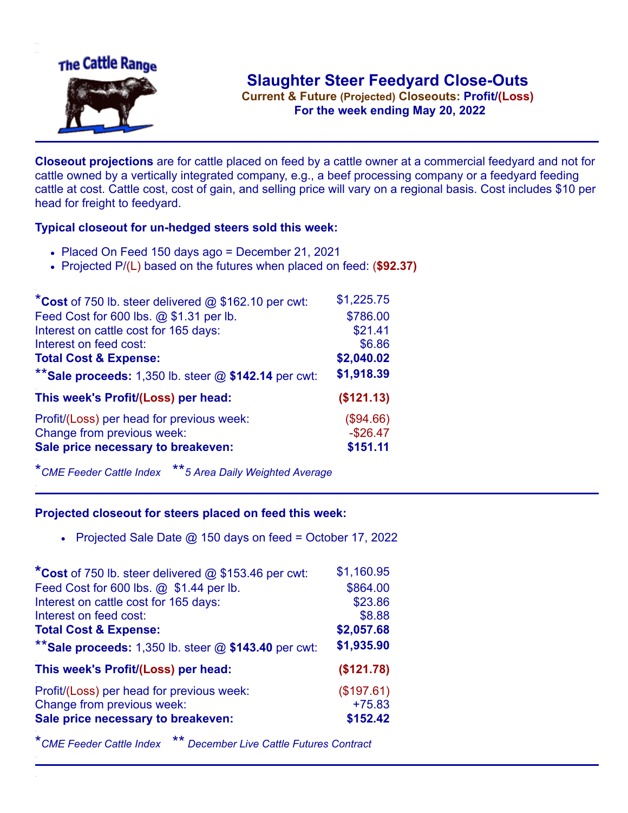

**Current & Future (Projected) Closeouts: Profit/(Loss)** .**For the week ending May 20, 2022**

**Closeout projections** are for cattle placed on feed by a cattle owner at a commercial feedyard and not for cattle owned by a vertically integrated company, e.g., a beef processing company or a feedyard feeding cattle at cost. Cattle cost, cost of gain, and selling price will vary on a regional basis. Cost includes \$10 per head for freight to feedyard.

## **Typical closeout for un-hedged steers sold this week:**

- Placed On Feed 150 days ago = December 21, 2021
- Projected P/(L) based on the futures when placed on feed: (**\$92.37)**

| *Cost of 750 lb. steer delivered $@$ \$162.10 per cwt:    | \$1,225.75 |
|-----------------------------------------------------------|------------|
| Feed Cost for 600 lbs. @ \$1.31 per lb.                   | \$786.00   |
| Interest on cattle cost for 165 days:                     | \$21.41    |
| Interest on feed cost:                                    | \$6.86     |
| <b>Total Cost &amp; Expense:</b>                          | \$2,040.02 |
| ** Sale proceeds: $1,350$ lb. steer $@$ \$142.14 per cwt: | \$1,918.39 |
| This week's Profit/(Loss) per head:                       | (\$121.13) |
| Profit/(Loss) per head for previous week:                 | (\$94.66)  |
| Change from previous week:                                | $-$26.47$  |
| Sale price necessary to breakeven:                        | \$151.11   |
|                                                           |            |

\**CME Feeder Cattle Index* \*\**5 Area Daily Weighted Average*

## **Projected closeout for steers placed on feed this week:**

• Projected Sale Date  $@$  150 days on feed = October 17, 2022

| \$1,160.95 |
|------------|
| \$864.00   |
| \$23.86    |
| \$8.88     |
| \$2,057.68 |
| \$1,935.90 |
| (\$121.78) |
| (\$197.61) |
| $+75.83$   |
| \$152.42   |
|            |

\**CME Feeder Cattle Index* \*\* *December Live Cattle Futures Contract*